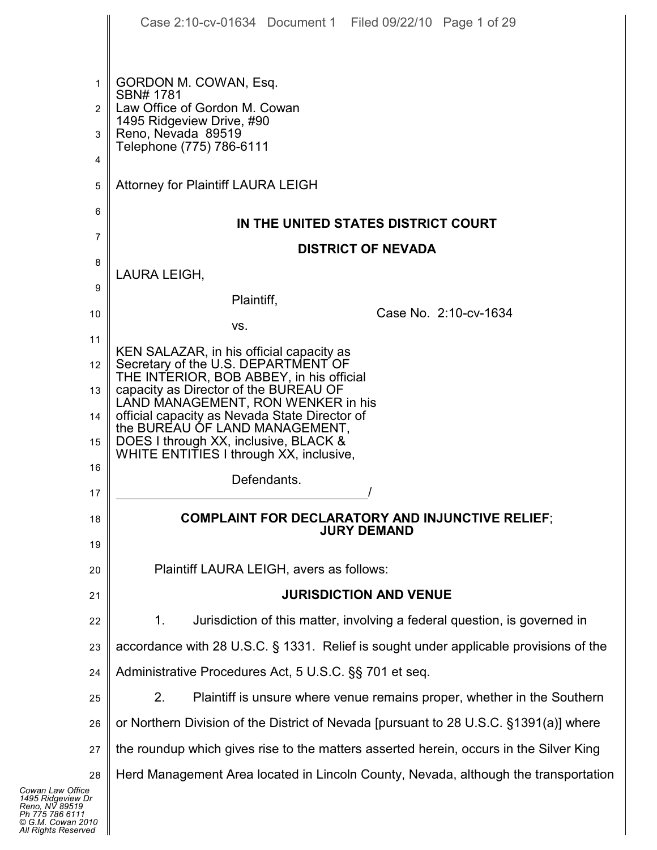|                | Case 2:10-cv-01634 Document 1 Filed 09/22/10 Page 1 of 29                              |
|----------------|----------------------------------------------------------------------------------------|
|                |                                                                                        |
| 1              | GORDON M. COWAN, Esq.<br>SBN# 1781                                                     |
| $\overline{2}$ | Law Office of Gordon M. Cowan<br>1495 Ridgeview Drive, #90                             |
| 3              | Reno, Nevada 89519<br>Telephone (775) 786-6111                                         |
| 4              |                                                                                        |
| 5              | <b>Attorney for Plaintiff LAURA LEIGH</b>                                              |
| 6              | IN THE UNITED STATES DISTRICT COURT                                                    |
| 7              | <b>DISTRICT OF NEVADA</b>                                                              |
| 8              | LAURA LEIGH,                                                                           |
| 9              | Plaintiff,                                                                             |
| 10             | Case No. 2:10-cv-1634<br>VS.                                                           |
| 11             | KEN SALAZAR, in his official capacity as<br>Secretary of the U.S. DEPARTMENT OF        |
| 12<br>13       | THE INTERIOR, BOB ABBEY, in his official<br>capacity as Director of the BUREAU OF      |
| 14             | LAND MANAGEMENT, RON WENKER in his<br>official capacity as Nevada State Director of    |
| 15             | the BUREAU OF LAND MANAGEMENT,<br>DOES I through XX, inclusive, BLACK &                |
| 16             | WHITE ENTITIES I through XX, inclusive,                                                |
| 17             | Defendants.                                                                            |
| 18             | <b>COMPLAINT FOR DECLARATORY AND INJUNCTIVE RELIEF;</b>                                |
| 19             | <b>JURY DEMAND</b>                                                                     |
| 20             | Plaintiff LAURA LEIGH, avers as follows:                                               |
| 21             | <b>JURISDICTION AND VENUE</b>                                                          |
| 22             | Jurisdiction of this matter, involving a federal question, is governed in<br>1.        |
| 23             | accordance with 28 U.S.C. § 1331. Relief is sought under applicable provisions of the  |
| 24             | Administrative Procedures Act, 5 U.S.C. §§ 701 et seq.                                 |
| 25             | 2.<br>Plaintiff is unsure where venue remains proper, whether in the Southern          |
| 26             | or Northern Division of the District of Nevada [pursuant to 28 U.S.C. §1391(a)] where  |
| 27             | the roundup which gives rise to the matters asserted herein, occurs in the Silver King |
| 28<br>fice     | Herd Management Area located in Lincoln County, Nevada, although the transportation    |
| v Dr<br>19     |                                                                                        |

| Cowan Law Office           |  |
|----------------------------|--|
| 1495 Ridgeview Dr          |  |
| Reno, NV 89519             |  |
| Ph 775 786 6111            |  |
| © G.M. Cowan 2010          |  |
| <b>All Rights Reserved</b> |  |
|                            |  |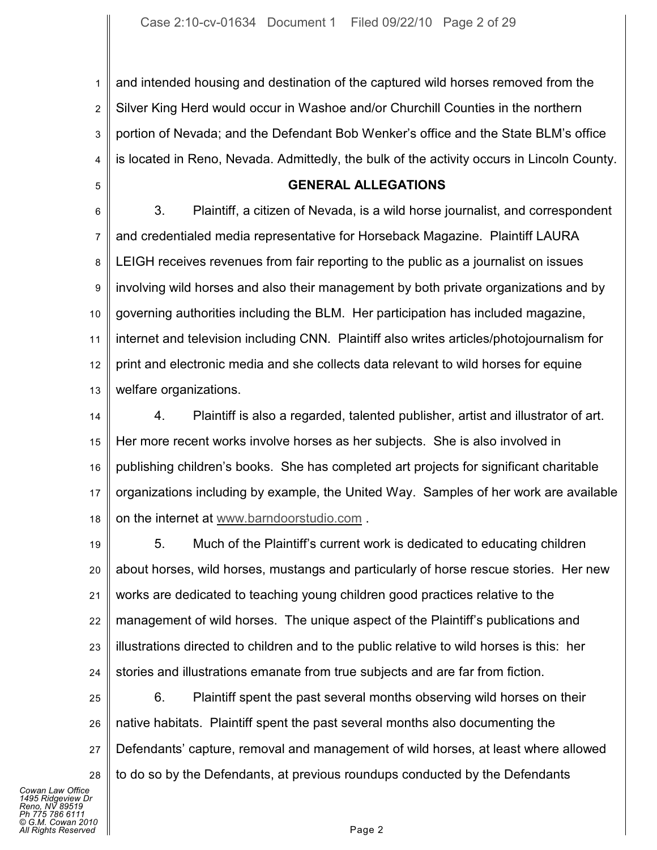1 2 3 4 and intended housing and destination of the captured wild horses removed from the Silver King Herd would occur in Washoe and/or Churchill Counties in the northern portion of Nevada; and the Defendant Bob Wenker's office and the State BLM's office is located in Reno, Nevada. Admittedly, the bulk of the activity occurs in Lincoln County.

## **GENERAL ALLEGATIONS**

6 7 8 9 10 11 12 13 3. Plaintiff, a citizen of Nevada, is a wild horse journalist, and correspondent and credentialed media representative for Horseback Magazine. Plaintiff LAURA LEIGH receives revenues from fair reporting to the public as a journalist on issues involving wild horses and also their management by both private organizations and by governing authorities including the BLM. Her participation has included magazine, internet and television including CNN. Plaintiff also writes articles/photojournalism for print and electronic media and she collects data relevant to wild horses for equine welfare organizations.

14 15 16 17 18 4. Plaintiff is also a regarded, talented publisher, artist and illustrator of art. Her more recent works involve horses as her subjects. She is also involved in publishing children's books. She has completed art projects for significant charitable organizations including by example, the United Way. Samples of her work are available on the internet at www.barndoorstudio.com .

19 20 21 22 23 24 5. Much of the Plaintiff's current work is dedicated to educating children about horses, wild horses, mustangs and particularly of horse rescue stories. Her new works are dedicated to teaching young children good practices relative to the management of wild horses. The unique aspect of the Plaintiff's publications and illustrations directed to children and to the public relative to wild horses is this: her stories and illustrations emanate from true subjects and are far from fiction.

25 26 27 28 6. Plaintiff spent the past several months observing wild horses on their native habitats. Plaintiff spent the past several months also documenting the Defendants' capture, removal and management of wild horses, at least where allowed to do so by the Defendants, at previous roundups conducted by the Defendants

*Cowan Law Office 1495 Ridgeview Dr Reno, NV 89519 Ph 775 786 6111 © G.M. Cowan 2010 Aliants Reserved* **Page 2** 

5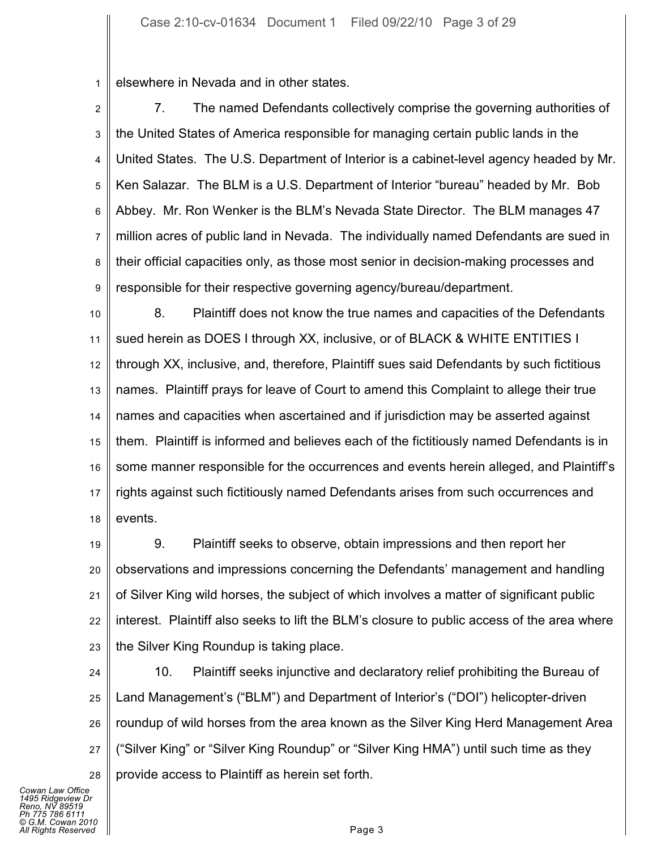1 elsewhere in Nevada and in other states.

2 3 4 5 6 7 8 9 7. The named Defendants collectively comprise the governing authorities of the United States of America responsible for managing certain public lands in the United States. The U.S. Department of Interior is a cabinet-level agency headed by Mr. Ken Salazar. The BLM is a U.S. Department of Interior "bureau" headed by Mr. Bob Abbey. Mr. Ron Wenker is the BLM's Nevada State Director. The BLM manages 47 million acres of public land in Nevada. The individually named Defendants are sued in their official capacities only, as those most senior in decision-making processes and responsible for their respective governing agency/bureau/department.

10 11 12 13 14 15 16 17 18 8. Plaintiff does not know the true names and capacities of the Defendants sued herein as DOES I through XX, inclusive, or of BLACK & WHITE ENTITIES I through XX, inclusive, and, therefore, Plaintiff sues said Defendants by such fictitious names. Plaintiff prays for leave of Court to amend this Complaint to allege their true names and capacities when ascertained and if jurisdiction may be asserted against them. Plaintiff is informed and believes each of the fictitiously named Defendants is in some manner responsible for the occurrences and events herein alleged, and Plaintiff's rights against such fictitiously named Defendants arises from such occurrences and events.

19 20 21 22 23 9. Plaintiff seeks to observe, obtain impressions and then report her observations and impressions concerning the Defendants' management and handling of Silver King wild horses, the subject of which involves a matter of significant public interest. Plaintiff also seeks to lift the BLM's closure to public access of the area where the Silver King Roundup is taking place.

24 25 26 27 28 10. Plaintiff seeks injunctive and declaratory relief prohibiting the Bureau of Land Management's ("BLM") and Department of Interior's ("DOI") helicopter-driven roundup of wild horses from the area known as the Silver King Herd Management Area ("Silver King" or "Silver King Roundup" or "Silver King HMA") until such time as they provide access to Plaintiff as herein set forth.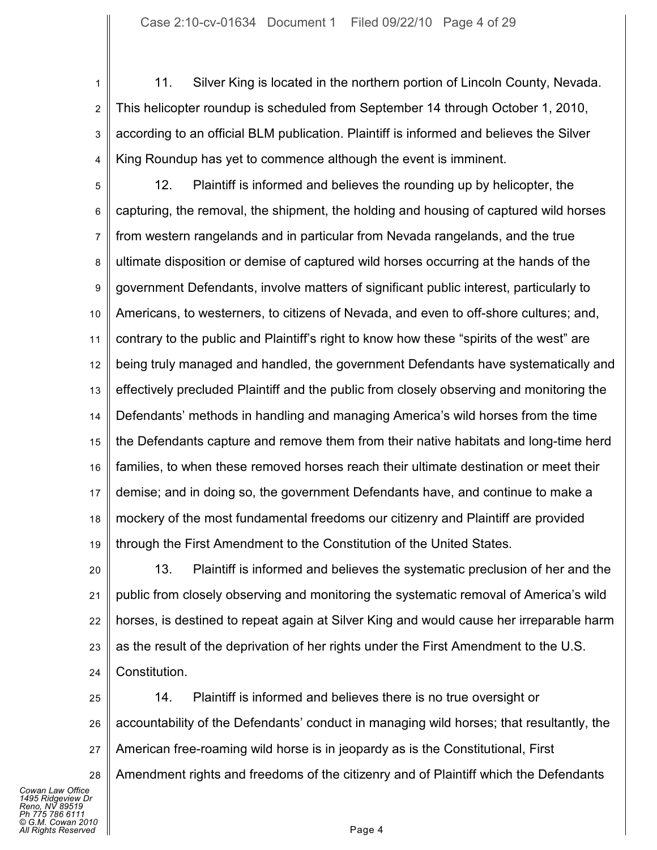1 2 3 4 11. Silver King is located in the northern portion of Lincoln County, Nevada. This helicopter roundup is scheduled from September 14 through October 1, 2010, according to an official BLM publication. Plaintiff is informed and believes the Silver King Roundup has yet to commence although the event is imminent.

5 6 7 8 9 10 11 12 13 14 15 16 17 18 19 12. Plaintiff is informed and believes the rounding up by helicopter, the capturing, the removal, the shipment, the holding and housing of captured wild horses from western rangelands and in particular from Nevada rangelands, and the true ultimate disposition or demise of captured wild horses occurring at the hands of the government Defendants, involve matters of significant public interest, particularly to Americans, to westerners, to citizens of Nevada, and even to off-shore cultures; and, contrary to the public and Plaintiff's right to know how these "spirits of the west" are being truly managed and handled, the government Defendants have systematically and effectively precluded Plaintiff and the public from closely observing and monitoring the Defendants' methods in handling and managing America's wild horses from the time the Defendants capture and remove them from their native habitats and long-time herd families, to when these removed horses reach their ultimate destination or meet their demise; and in doing so, the government Defendants have, and continue to make a mockery of the most fundamental freedoms our citizenry and Plaintiff are provided through the First Amendment to the Constitution of the United States.

20 21 22 23 24 13. Plaintiff is informed and believes the systematic preclusion of her and the public from closely observing and monitoring the systematic removal of America's wild horses, is destined to repeat again at Silver King and would cause her irreparable harm as the result of the deprivation of her rights under the First Amendment to the U.S. Constitution.

25 26 27 28 14. Plaintiff is informed and believes there is no true oversight or accountability of the Defendants' conduct in managing wild horses; that resultantly, the American free-roaming wild horse is in jeopardy as is the Constitutional, First Amendment rights and freedoms of the citizenry and of Plaintiff which the Defendants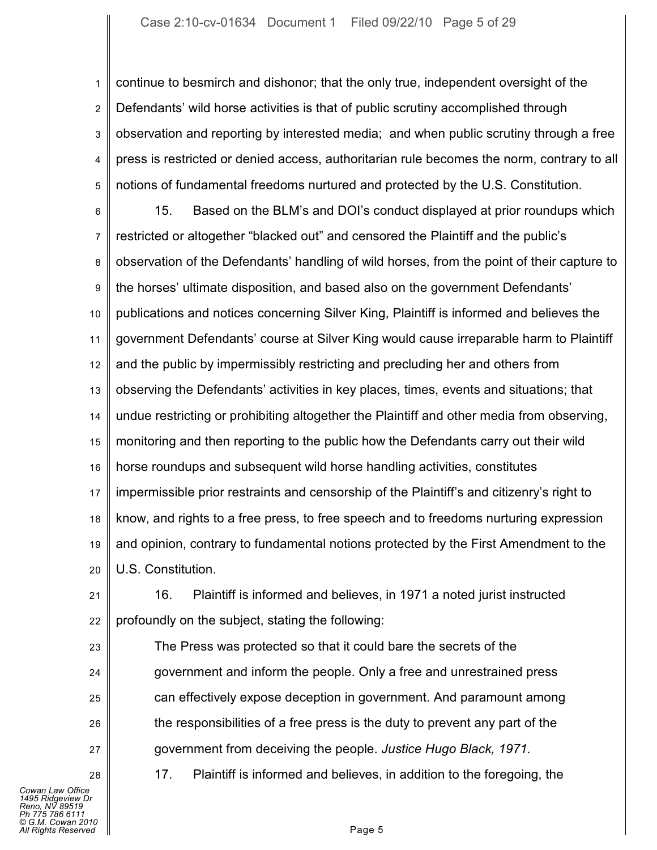1 2 3 4 5 continue to besmirch and dishonor; that the only true, independent oversight of the Defendants' wild horse activities is that of public scrutiny accomplished through observation and reporting by interested media; and when public scrutiny through a free press is restricted or denied access, authoritarian rule becomes the norm, contrary to all notions of fundamental freedoms nurtured and protected by the U.S. Constitution.

6 7 8 9 10 11 12 13 14 15 16 17 18 19 20 15. Based on the BLM's and DOI's conduct displayed at prior roundups which restricted or altogether "blacked out" and censored the Plaintiff and the public's observation of the Defendants' handling of wild horses, from the point of their capture to the horses' ultimate disposition, and based also on the government Defendants' publications and notices concerning Silver King, Plaintiff is informed and believes the government Defendants' course at Silver King would cause irreparable harm to Plaintiff and the public by impermissibly restricting and precluding her and others from observing the Defendants' activities in key places, times, events and situations; that undue restricting or prohibiting altogether the Plaintiff and other media from observing, monitoring and then reporting to the public how the Defendants carry out their wild horse roundups and subsequent wild horse handling activities, constitutes impermissible prior restraints and censorship of the Plaintiff's and citizenry's right to know, and rights to a free press, to free speech and to freedoms nurturing expression and opinion, contrary to fundamental notions protected by the First Amendment to the U.S. Constitution.

21 22 16. Plaintiff is informed and believes, in 1971 a noted jurist instructed profoundly on the subject, stating the following:

The Press was protected so that it could bare the secrets of the government and inform the people. Only a free and unrestrained press can effectively expose deception in government. And paramount among the responsibilities of a free press is the duty to prevent any part of the government from deceiving the people. *Justice Hugo Black, 1971.*

*Cowan Law Office 1495 Ridgeview Dr Reno, NV 89519 Ph 775 786 6111 © G.M. Cowan 2010 All Rights Reserved* Page 5

23

24

25

26

27

28

17. Plaintiff is informed and believes, in addition to the foregoing, the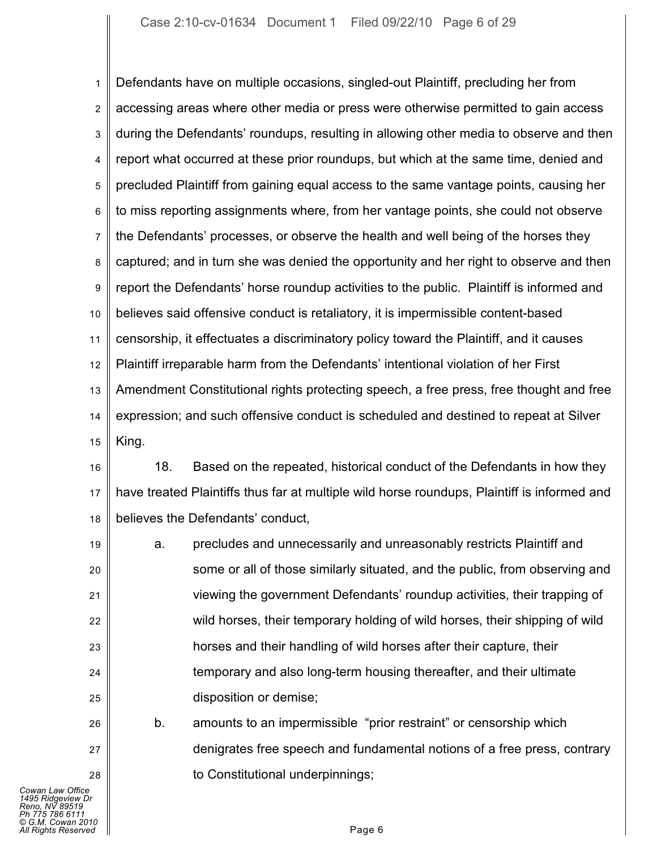1 2 3 4 5 6 7 8 9 10 11 12 13 14 15 Defendants have on multiple occasions, singled-out Plaintiff, precluding her from accessing areas where other media or press were otherwise permitted to gain access during the Defendants' roundups, resulting in allowing other media to observe and then report what occurred at these prior roundups, but which at the same time, denied and precluded Plaintiff from gaining equal access to the same vantage points, causing her to miss reporting assignments where, from her vantage points, she could not observe the Defendants' processes, or observe the health and well being of the horses they captured; and in turn she was denied the opportunity and her right to observe and then report the Defendants' horse roundup activities to the public. Plaintiff is informed and believes said offensive conduct is retaliatory, it is impermissible content-based censorship, it effectuates a discriminatory policy toward the Plaintiff, and it causes Plaintiff irreparable harm from the Defendants' intentional violation of her First Amendment Constitutional rights protecting speech, a free press, free thought and free expression; and such offensive conduct is scheduled and destined to repeat at Silver King.

16 17 18 18. Based on the repeated, historical conduct of the Defendants in how they have treated Plaintiffs thus far at multiple wild horse roundups, Plaintiff is informed and believes the Defendants' conduct,

19 20 21 22 23 24 25 a. precludes and unnecessarily and unreasonably restricts Plaintiff and some or all of those similarly situated, and the public, from observing and viewing the government Defendants' roundup activities, their trapping of wild horses, their temporary holding of wild horses, their shipping of wild horses and their handling of wild horses after their capture, their temporary and also long-term housing thereafter, and their ultimate disposition or demise;

b. amounts to an impermissible "prior restraint" or censorship which denigrates free speech and fundamental notions of a free press, contrary to Constitutional underpinnings;

26

27

28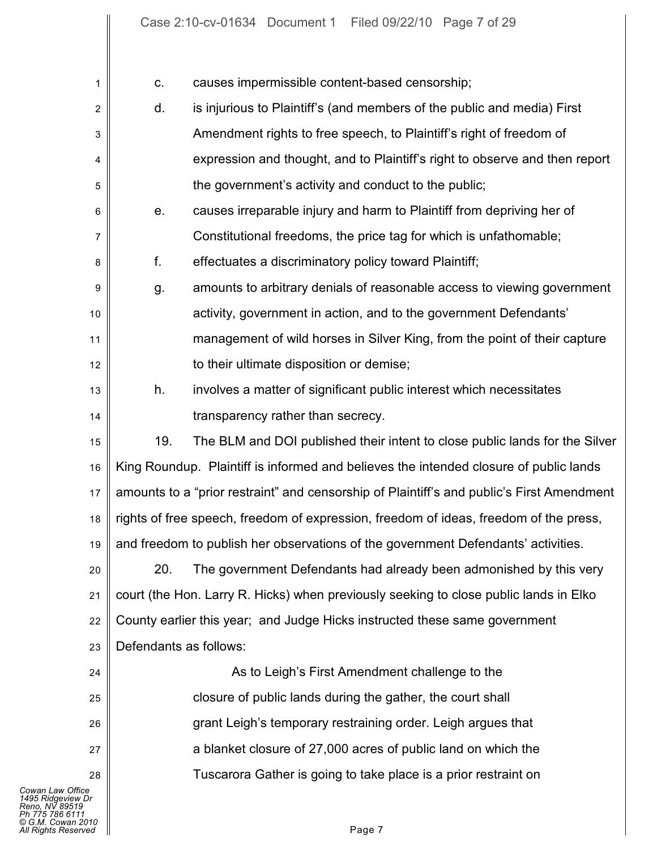| 1                                                                                                                      | causes impermissible content-based censorship;<br>C.                                      |
|------------------------------------------------------------------------------------------------------------------------|-------------------------------------------------------------------------------------------|
| $\overline{2}$                                                                                                         | d.<br>is injurious to Plaintiff's (and members of the public and media) First             |
| 3                                                                                                                      | Amendment rights to free speech, to Plaintiff's right of freedom of                       |
| 4                                                                                                                      | expression and thought, and to Plaintiff's right to observe and then report               |
| 5                                                                                                                      | the government's activity and conduct to the public;                                      |
| 6                                                                                                                      | causes irreparable injury and harm to Plaintiff from depriving her of<br>е.               |
| $\overline{7}$                                                                                                         | Constitutional freedoms, the price tag for which is unfathomable;                         |
| 8                                                                                                                      | f.<br>effectuates a discriminatory policy toward Plaintiff;                               |
| 9                                                                                                                      | amounts to arbitrary denials of reasonable access to viewing government<br>g.             |
| 10                                                                                                                     | activity, government in action, and to the government Defendants'                         |
| 11                                                                                                                     | management of wild horses in Silver King, from the point of their capture                 |
| 12                                                                                                                     | to their ultimate disposition or demise;                                                  |
| 13                                                                                                                     | involves a matter of significant public interest which necessitates<br>h.                 |
| 14                                                                                                                     | transparency rather than secrecy.                                                         |
| 15                                                                                                                     | 19.<br>The BLM and DOI published their intent to close public lands for the Silver        |
| 16                                                                                                                     | King Roundup. Plaintiff is informed and believes the intended closure of public lands     |
| 17                                                                                                                     | amounts to a "prior restraint" and censorship of Plaintiff's and public's First Amendment |
| 18                                                                                                                     | rights of free speech, freedom of expression, freedom of ideas, freedom of the press,     |
| 19                                                                                                                     | and freedom to publish her observations of the government Defendants' activities.         |
| 20                                                                                                                     | 20.<br>The government Defendants had already been admonished by this very                 |
| 21                                                                                                                     | court (the Hon. Larry R. Hicks) when previously seeking to close public lands in Elko     |
| 22                                                                                                                     | County earlier this year; and Judge Hicks instructed these same government                |
| 23                                                                                                                     | Defendants as follows:                                                                    |
| 24                                                                                                                     | As to Leigh's First Amendment challenge to the                                            |
| 25                                                                                                                     | closure of public lands during the gather, the court shall                                |
| 26                                                                                                                     | grant Leigh's temporary restraining order. Leigh argues that                              |
| 27                                                                                                                     | a blanket closure of 27,000 acres of public land on which the                             |
| 28                                                                                                                     | Tuscarora Gather is going to take place is a prior restraint on                           |
| Cowan Law Office<br>1495 Ridgeview Dr<br>Reno. NV 89519<br>Ph 775 786 6111<br>© G.M. Cowan 2010<br>All Rights Reserved | Page 7                                                                                    |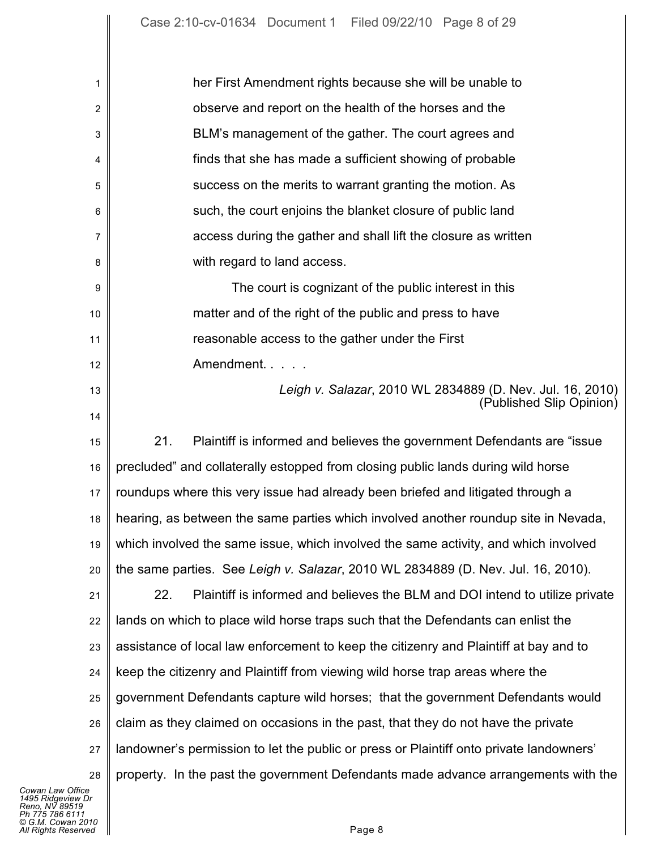| 1  | her First Amendment rights because she will be unable to                                |
|----|-----------------------------------------------------------------------------------------|
| 2  | observe and report on the health of the horses and the                                  |
| 3  | BLM's management of the gather. The court agrees and                                    |
| 4  | finds that she has made a sufficient showing of probable                                |
| 5  | success on the merits to warrant granting the motion. As                                |
| 6  | such, the court enjoins the blanket closure of public land                              |
| 7  | access during the gather and shall lift the closure as written                          |
| 8  | with regard to land access.                                                             |
| 9  | The court is cognizant of the public interest in this                                   |
| 10 | matter and of the right of the public and press to have                                 |
| 11 | reasonable access to the gather under the First                                         |
| 12 | Amendment.                                                                              |
| 13 | Leigh v. Salazar, 2010 WL 2834889 (D. Nev. Jul. 16, 2010)<br>(Published Slip Opinion)   |
| 14 |                                                                                         |
| 15 | 21.<br>Plaintiff is informed and believes the government Defendants are "issue"         |
| 16 | precluded" and collaterally estopped from closing public lands during wild horse        |
| 17 | roundups where this very issue had already been briefed and litigated through a         |
| 18 | hearing, as between the same parties which involved another roundup site in Nevada,     |
| 19 | which involved the same issue, which involved the same activity, and which involved     |
| 20 | the same parties. See Leigh v. Salazar, 2010 WL 2834889 (D. Nev. Jul. 16, 2010).        |
| 21 | Plaintiff is informed and believes the BLM and DOI intend to utilize private<br>22.     |
| 22 | lands on which to place wild horse traps such that the Defendants can enlist the        |
| 23 | assistance of local law enforcement to keep the citizenry and Plaintiff at bay and to   |
| 24 | keep the citizenry and Plaintiff from viewing wild horse trap areas where the           |
| 25 | government Defendants capture wild horses; that the government Defendants would         |
| 26 | claim as they claimed on occasions in the past, that they do not have the private       |
| 27 | landowner's permission to let the public or press or Plaintiff onto private landowners' |
| 28 | property. In the past the government Defendants made advance arrangements with the      |
|    |                                                                                         |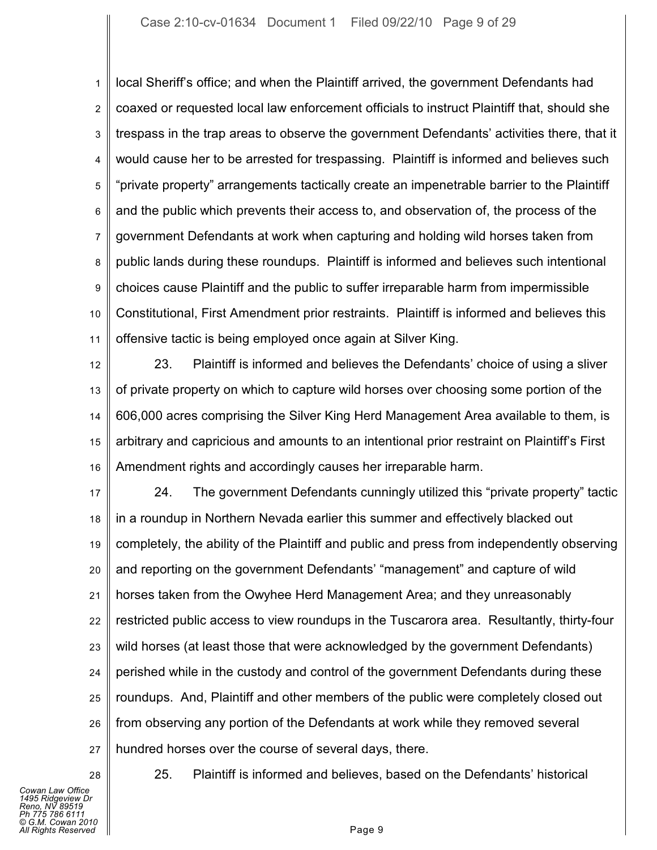1 2 3 4 5 6 7 8 9 10 11 local Sheriff's office; and when the Plaintiff arrived, the government Defendants had coaxed or requested local law enforcement officials to instruct Plaintiff that, should she trespass in the trap areas to observe the government Defendants' activities there, that it would cause her to be arrested for trespassing. Plaintiff is informed and believes such "private property" arrangements tactically create an impenetrable barrier to the Plaintiff and the public which prevents their access to, and observation of, the process of the government Defendants at work when capturing and holding wild horses taken from public lands during these roundups. Plaintiff is informed and believes such intentional choices cause Plaintiff and the public to suffer irreparable harm from impermissible Constitutional, First Amendment prior restraints. Plaintiff is informed and believes this offensive tactic is being employed once again at Silver King.

12 13 14 15 16 23. Plaintiff is informed and believes the Defendants' choice of using a sliver of private property on which to capture wild horses over choosing some portion of the 606,000 acres comprising the Silver King Herd Management Area available to them, is arbitrary and capricious and amounts to an intentional prior restraint on Plaintiff's First Amendment rights and accordingly causes her irreparable harm.

17 18 19 20 21 22 23 24 25 26 27 24. The government Defendants cunningly utilized this "private property" tactic in a roundup in Northern Nevada earlier this summer and effectively blacked out completely, the ability of the Plaintiff and public and press from independently observing and reporting on the government Defendants' "management" and capture of wild horses taken from the Owyhee Herd Management Area; and they unreasonably restricted public access to view roundups in the Tuscarora area. Resultantly, thirty-four wild horses (at least those that were acknowledged by the government Defendants) perished while in the custody and control of the government Defendants during these roundups. And, Plaintiff and other members of the public were completely closed out from observing any portion of the Defendants at work while they removed several hundred horses over the course of several days, there.

*Cowan Law Office 1495 Ridgeview Dr Reno, NV 89519 Ph 775 786 6111 © G.M. Cowan 2010 All Rights Reserved* Page 9

28

25. Plaintiff is informed and believes, based on the Defendants' historical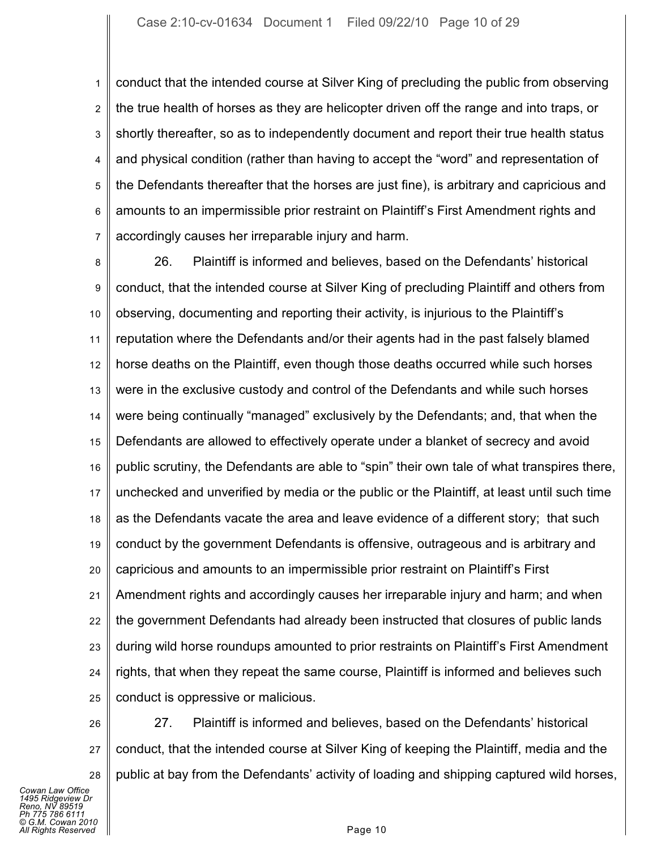1 2 3 4 5 6 7 conduct that the intended course at Silver King of precluding the public from observing the true health of horses as they are helicopter driven off the range and into traps, or shortly thereafter, so as to independently document and report their true health status and physical condition (rather than having to accept the "word" and representation of the Defendants thereafter that the horses are just fine), is arbitrary and capricious and amounts to an impermissible prior restraint on Plaintiff's First Amendment rights and accordingly causes her irreparable injury and harm.

8 9 10 11 12 13 14 15 16 17 18 19 20 21 22 23 24 25 26. Plaintiff is informed and believes, based on the Defendants' historical conduct, that the intended course at Silver King of precluding Plaintiff and others from observing, documenting and reporting their activity, is injurious to the Plaintiff's reputation where the Defendants and/or their agents had in the past falsely blamed horse deaths on the Plaintiff, even though those deaths occurred while such horses were in the exclusive custody and control of the Defendants and while such horses were being continually "managed" exclusively by the Defendants; and, that when the Defendants are allowed to effectively operate under a blanket of secrecy and avoid public scrutiny, the Defendants are able to "spin" their own tale of what transpires there, unchecked and unverified by media or the public or the Plaintiff, at least until such time as the Defendants vacate the area and leave evidence of a different story; that such conduct by the government Defendants is offensive, outrageous and is arbitrary and capricious and amounts to an impermissible prior restraint on Plaintiff's First Amendment rights and accordingly causes her irreparable injury and harm; and when the government Defendants had already been instructed that closures of public lands during wild horse roundups amounted to prior restraints on Plaintiff's First Amendment rights, that when they repeat the same course, Plaintiff is informed and believes such conduct is oppressive or malicious.

26 27 28 27. Plaintiff is informed and believes, based on the Defendants' historical conduct, that the intended course at Silver King of keeping the Plaintiff, media and the public at bay from the Defendants' activity of loading and shipping captured wild horses,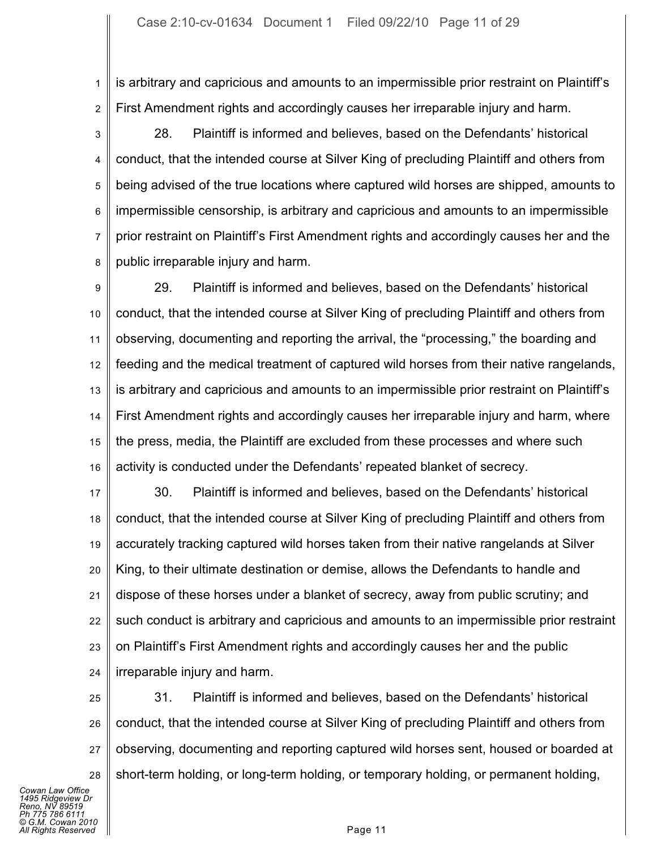1 2 is arbitrary and capricious and amounts to an impermissible prior restraint on Plaintiff's First Amendment rights and accordingly causes her irreparable injury and harm.

3 4 5 6 7 8 28. Plaintiff is informed and believes, based on the Defendants' historical conduct, that the intended course at Silver King of precluding Plaintiff and others from being advised of the true locations where captured wild horses are shipped, amounts to impermissible censorship, is arbitrary and capricious and amounts to an impermissible prior restraint on Plaintiff's First Amendment rights and accordingly causes her and the public irreparable injury and harm.

9 10 11 12 13 14 15 16 29. Plaintiff is informed and believes, based on the Defendants' historical conduct, that the intended course at Silver King of precluding Plaintiff and others from observing, documenting and reporting the arrival, the "processing," the boarding and feeding and the medical treatment of captured wild horses from their native rangelands, is arbitrary and capricious and amounts to an impermissible prior restraint on Plaintiff's First Amendment rights and accordingly causes her irreparable injury and harm, where the press, media, the Plaintiff are excluded from these processes and where such activity is conducted under the Defendants' repeated blanket of secrecy.

17 18 19 20 21 22 23 24 30. Plaintiff is informed and believes, based on the Defendants' historical conduct, that the intended course at Silver King of precluding Plaintiff and others from accurately tracking captured wild horses taken from their native rangelands at Silver King, to their ultimate destination or demise, allows the Defendants to handle and dispose of these horses under a blanket of secrecy, away from public scrutiny; and such conduct is arbitrary and capricious and amounts to an impermissible prior restraint on Plaintiff's First Amendment rights and accordingly causes her and the public irreparable injury and harm.

25 26 27 28 31. Plaintiff is informed and believes, based on the Defendants' historical conduct, that the intended course at Silver King of precluding Plaintiff and others from observing, documenting and reporting captured wild horses sent, housed or boarded at short-term holding, or long-term holding, or temporary holding, or permanent holding,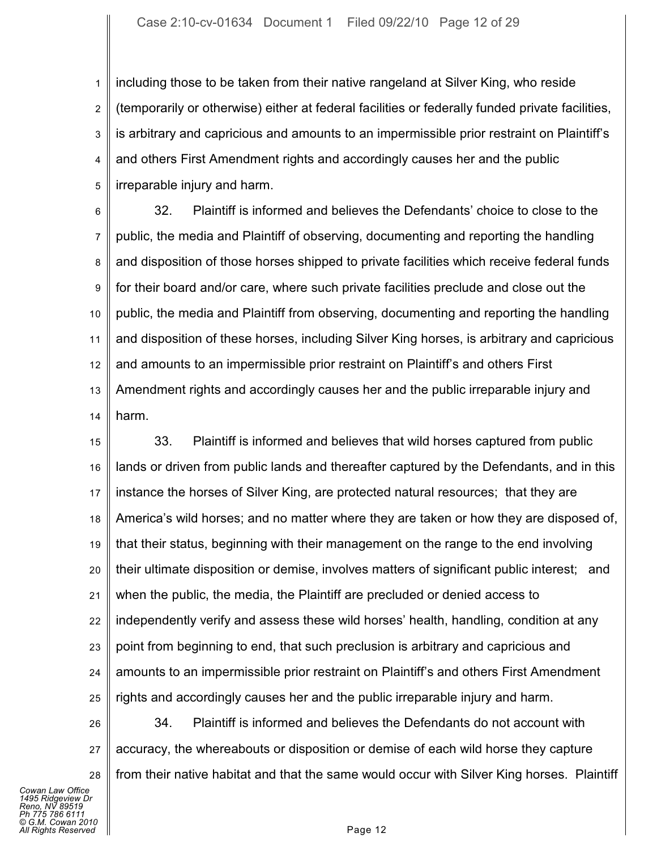1 2 3 4 5 including those to be taken from their native rangeland at Silver King, who reside (temporarily or otherwise) either at federal facilities or federally funded private facilities, is arbitrary and capricious and amounts to an impermissible prior restraint on Plaintiff's and others First Amendment rights and accordingly causes her and the public irreparable injury and harm.

6 7 8 9 10 11 12 13 14 32. Plaintiff is informed and believes the Defendants' choice to close to the public, the media and Plaintiff of observing, documenting and reporting the handling and disposition of those horses shipped to private facilities which receive federal funds for their board and/or care, where such private facilities preclude and close out the public, the media and Plaintiff from observing, documenting and reporting the handling and disposition of these horses, including Silver King horses, is arbitrary and capricious and amounts to an impermissible prior restraint on Plaintiff's and others First Amendment rights and accordingly causes her and the public irreparable injury and harm.

15 16 17 18 19 20 21 22 23 24 25 33. Plaintiff is informed and believes that wild horses captured from public lands or driven from public lands and thereafter captured by the Defendants, and in this instance the horses of Silver King, are protected natural resources; that they are America's wild horses; and no matter where they are taken or how they are disposed of, that their status, beginning with their management on the range to the end involving their ultimate disposition or demise, involves matters of significant public interest; and when the public, the media, the Plaintiff are precluded or denied access to independently verify and assess these wild horses' health, handling, condition at any point from beginning to end, that such preclusion is arbitrary and capricious and amounts to an impermissible prior restraint on Plaintiff's and others First Amendment rights and accordingly causes her and the public irreparable injury and harm.

26 27 28 34. Plaintiff is informed and believes the Defendants do not account with accuracy, the whereabouts or disposition or demise of each wild horse they capture from their native habitat and that the same would occur with Silver King horses. Plaintiff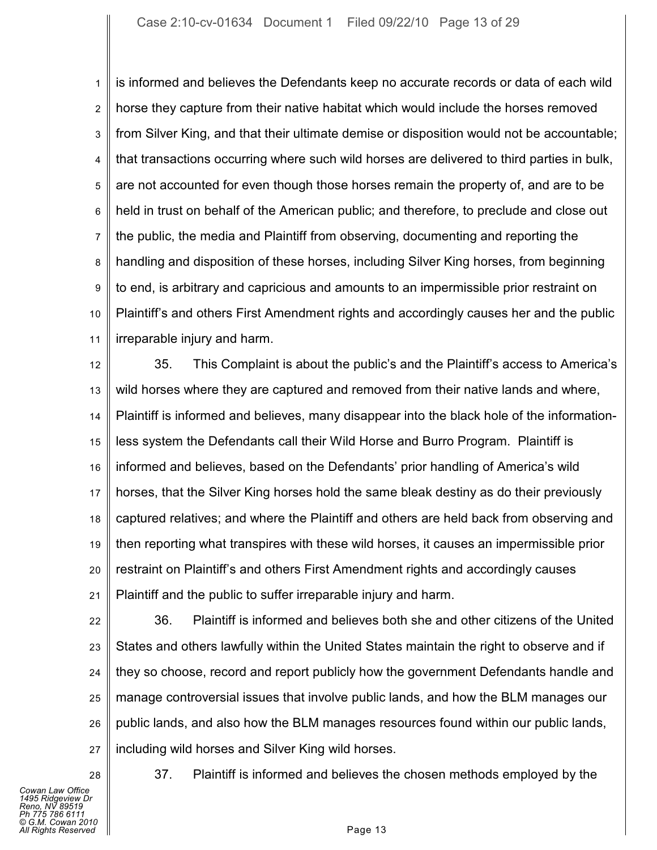1 2 3 4 5 6 7 8 9 10 11 is informed and believes the Defendants keep no accurate records or data of each wild horse they capture from their native habitat which would include the horses removed from Silver King, and that their ultimate demise or disposition would not be accountable; that transactions occurring where such wild horses are delivered to third parties in bulk, are not accounted for even though those horses remain the property of, and are to be held in trust on behalf of the American public; and therefore, to preclude and close out the public, the media and Plaintiff from observing, documenting and reporting the handling and disposition of these horses, including Silver King horses, from beginning to end, is arbitrary and capricious and amounts to an impermissible prior restraint on Plaintiff's and others First Amendment rights and accordingly causes her and the public irreparable injury and harm.

12 13 14 15 16 17 18 19 20 21 35. This Complaint is about the public's and the Plaintiff's access to America's wild horses where they are captured and removed from their native lands and where, Plaintiff is informed and believes, many disappear into the black hole of the informationless system the Defendants call their Wild Horse and Burro Program. Plaintiff is informed and believes, based on the Defendants' prior handling of America's wild horses, that the Silver King horses hold the same bleak destiny as do their previously captured relatives; and where the Plaintiff and others are held back from observing and then reporting what transpires with these wild horses, it causes an impermissible prior restraint on Plaintiff's and others First Amendment rights and accordingly causes Plaintiff and the public to suffer irreparable injury and harm.

22 23 24 25 26 27 36. Plaintiff is informed and believes both she and other citizens of the United States and others lawfully within the United States maintain the right to observe and if they so choose, record and report publicly how the government Defendants handle and manage controversial issues that involve public lands, and how the BLM manages our public lands, and also how the BLM manages resources found within our public lands, including wild horses and Silver King wild horses.

*Cowan Law Office 1495 Ridgeview Dr Reno, NV 89519 Ph 775 786 6111 © G.M. Cowan 2010 Alights Reserved* Page 13

28

37. Plaintiff is informed and believes the chosen methods employed by the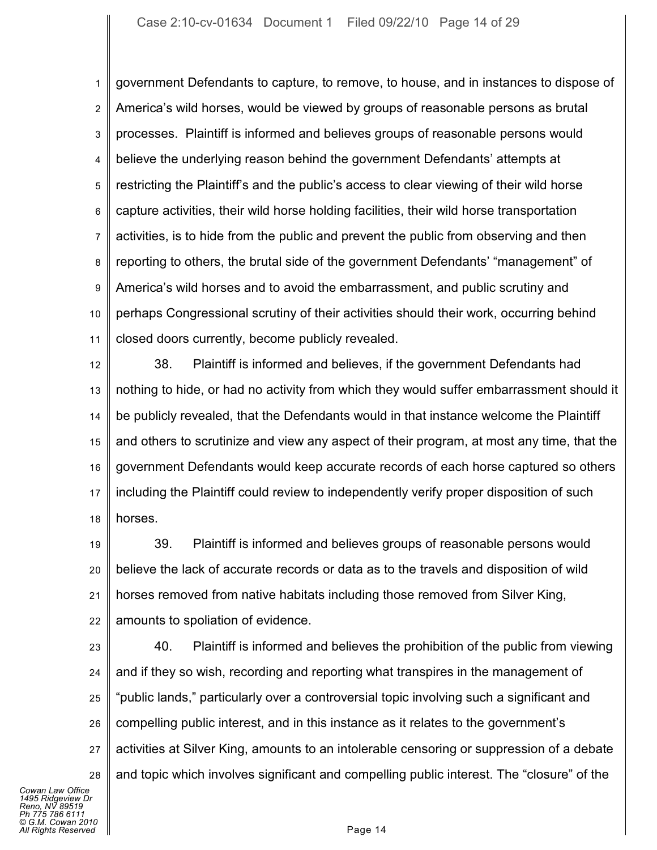1 2 3 4 5 6 7 8 9 10 11 government Defendants to capture, to remove, to house, and in instances to dispose of America's wild horses, would be viewed by groups of reasonable persons as brutal processes. Plaintiff is informed and believes groups of reasonable persons would believe the underlying reason behind the government Defendants' attempts at restricting the Plaintiff's and the public's access to clear viewing of their wild horse capture activities, their wild horse holding facilities, their wild horse transportation activities, is to hide from the public and prevent the public from observing and then reporting to others, the brutal side of the government Defendants' "management" of America's wild horses and to avoid the embarrassment, and public scrutiny and perhaps Congressional scrutiny of their activities should their work, occurring behind closed doors currently, become publicly revealed.

12 13 14 15 16 17 18 38. Plaintiff is informed and believes, if the government Defendants had nothing to hide, or had no activity from which they would suffer embarrassment should it be publicly revealed, that the Defendants would in that instance welcome the Plaintiff and others to scrutinize and view any aspect of their program, at most any time, that the government Defendants would keep accurate records of each horse captured so others including the Plaintiff could review to independently verify proper disposition of such horses.

19 20 21 22 39. Plaintiff is informed and believes groups of reasonable persons would believe the lack of accurate records or data as to the travels and disposition of wild horses removed from native habitats including those removed from Silver King, amounts to spoliation of evidence.

23 24 25 26 27 28 40. Plaintiff is informed and believes the prohibition of the public from viewing and if they so wish, recording and reporting what transpires in the management of "public lands," particularly over a controversial topic involving such a significant and compelling public interest, and in this instance as it relates to the government's activities at Silver King, amounts to an intolerable censoring or suppression of a debate and topic which involves significant and compelling public interest. The "closure" of the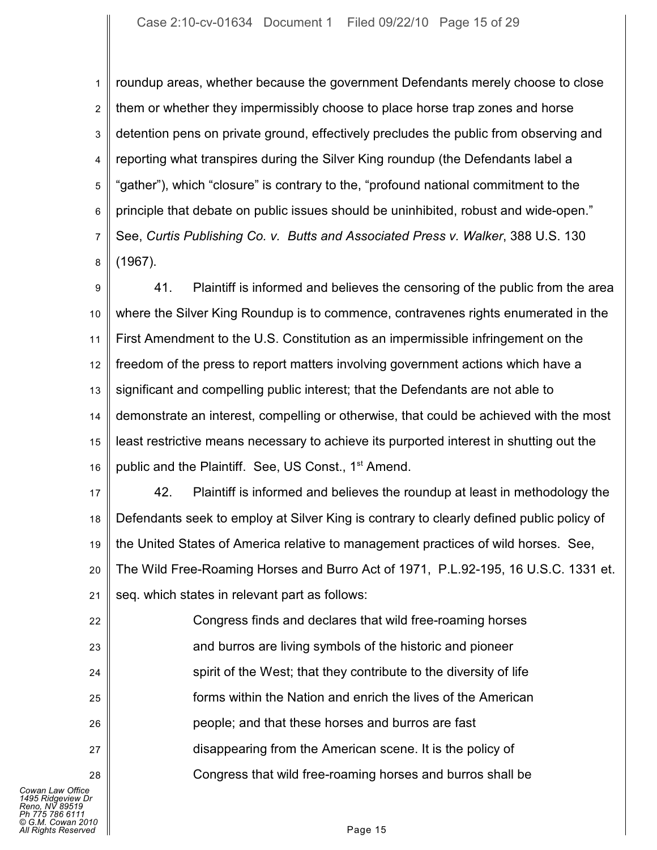1 2 3 4 5 6 7 8 roundup areas, whether because the government Defendants merely choose to close them or whether they impermissibly choose to place horse trap zones and horse detention pens on private ground, effectively precludes the public from observing and reporting what transpires during the Silver King roundup (the Defendants label a "gather"), which "closure" is contrary to the, "profound national commitment to the principle that debate on public issues should be uninhibited, robust and wide-open." See, *Curtis Publishing Co. v. Butts and Associated Press v. Walker*, 388 U.S. 130 (1967).

9 10 11 12 13 14 15 16 41. Plaintiff is informed and believes the censoring of the public from the area where the Silver King Roundup is to commence, contravenes rights enumerated in the First Amendment to the U.S. Constitution as an impermissible infringement on the freedom of the press to report matters involving government actions which have a significant and compelling public interest; that the Defendants are not able to demonstrate an interest, compelling or otherwise, that could be achieved with the most least restrictive means necessary to achieve its purported interest in shutting out the public and the Plaintiff. See, US Const., 1<sup>st</sup> Amend.

17 18 19 20 21 42. Plaintiff is informed and believes the roundup at least in methodology the Defendants seek to employ at Silver King is contrary to clearly defined public policy of the United States of America relative to management practices of wild horses. See, The Wild Free-Roaming Horses and Burro Act of 1971, P.L.92-195, 16 U.S.C. 1331 et. seq. which states in relevant part as follows:

22 23 24 25 26 27 28 Congress finds and declares that wild free-roaming horses and burros are living symbols of the historic and pioneer spirit of the West; that they contribute to the diversity of life forms within the Nation and enrich the lives of the American people; and that these horses and burros are fast disappearing from the American scene. It is the policy of Congress that wild free-roaming horses and burros shall be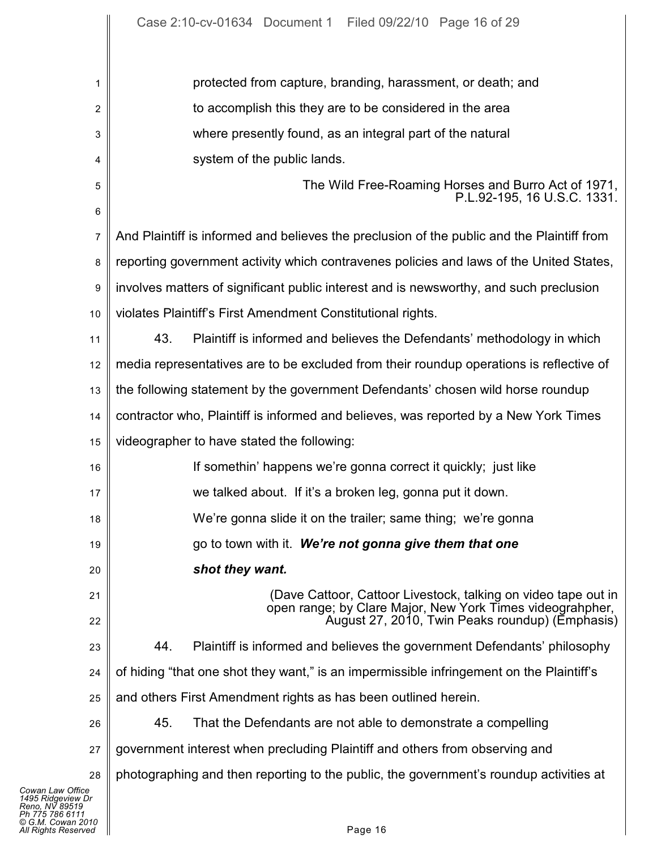| 1                                                                                                                      | protected from capture, branding, harassment, or death; and                                                  |
|------------------------------------------------------------------------------------------------------------------------|--------------------------------------------------------------------------------------------------------------|
| 2                                                                                                                      | to accomplish this they are to be considered in the area                                                     |
| 3                                                                                                                      | where presently found, as an integral part of the natural                                                    |
| 4                                                                                                                      | system of the public lands.                                                                                  |
| 5<br>$\,6$                                                                                                             | The Wild Free-Roaming Horses and Burro Act of 1971,<br>P.L.92-195, 16 U.S.C. 1331.                           |
| 7                                                                                                                      | And Plaintiff is informed and believes the preclusion of the public and the Plaintiff from                   |
| 8                                                                                                                      | reporting government activity which contravenes policies and laws of the United States,                      |
| 9                                                                                                                      | involves matters of significant public interest and is newsworthy, and such preclusion                       |
| 10                                                                                                                     | violates Plaintiff's First Amendment Constitutional rights.                                                  |
| 11                                                                                                                     | 43.<br>Plaintiff is informed and believes the Defendants' methodology in which                               |
| 12                                                                                                                     | media representatives are to be excluded from their roundup operations is reflective of                      |
| 13                                                                                                                     | the following statement by the government Defendants' chosen wild horse roundup                              |
| 14                                                                                                                     | contractor who, Plaintiff is informed and believes, was reported by a New York Times                         |
| 15                                                                                                                     | videographer to have stated the following:                                                                   |
| 16                                                                                                                     | If somethin' happens we're gonna correct it quickly; just like                                               |
| 17                                                                                                                     | we talked about. If it's a broken leg, gonna put it down.                                                    |
| 18                                                                                                                     | We're gonna slide it on the trailer; same thing; we're gonna                                                 |
| 19                                                                                                                     | go to town with it. We're not gonna give them that one                                                       |
| 20                                                                                                                     | shot they want.                                                                                              |
|                                                                                                                        | (Dave Cattoor, Cattoor Livestock, talking on video tape out in                                               |
| 21<br>22                                                                                                               | open range; by Clare Major, New York Times videograhpher,<br>August 27, 2010, Twin Peaks roundup) (Emphasis) |
| 23                                                                                                                     | 44.<br>Plaintiff is informed and believes the government Defendants' philosophy                              |
| 24                                                                                                                     | of hiding "that one shot they want," is an impermissible infringement on the Plaintiff's                     |
| 25                                                                                                                     | and others First Amendment rights as has been outlined herein.                                               |
| 26                                                                                                                     | 45.<br>That the Defendants are not able to demonstrate a compelling                                          |
| 27                                                                                                                     | government interest when precluding Plaintiff and others from observing and                                  |
| 28                                                                                                                     | photographing and then reporting to the public, the government's roundup activities at                       |
| Cowan Law Office<br>1495 Ridgeview Dr<br>Reno, NV 89519<br>Ph 775 786 6111<br>© G.M. Cowan 2010<br>All Rights Reserved | Page 16                                                                                                      |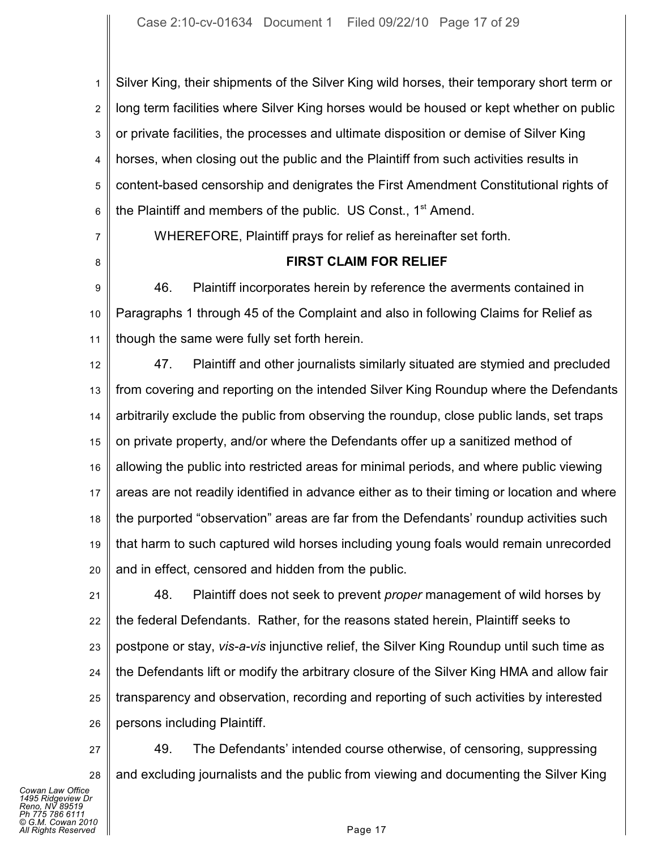1 2 3 4 5 6 Silver King, their shipments of the Silver King wild horses, their temporary short term or long term facilities where Silver King horses would be housed or kept whether on public or private facilities, the processes and ultimate disposition or demise of Silver King horses, when closing out the public and the Plaintiff from such activities results in content-based censorship and denigrates the First Amendment Constitutional rights of the Plaintiff and members of the public. US Const.,  $1<sup>st</sup>$  Amend.

7

8

WHEREFORE, Plaintiff prays for relief as hereinafter set forth.

## **FIRST CLAIM FOR RELIEF**

9 10 11 46. Plaintiff incorporates herein by reference the averments contained in Paragraphs 1 through 45 of the Complaint and also in following Claims for Relief as though the same were fully set forth herein.

12 13 14 15 16 17 18 19 20 47. Plaintiff and other journalists similarly situated are stymied and precluded from covering and reporting on the intended Silver King Roundup where the Defendants arbitrarily exclude the public from observing the roundup, close public lands, set traps on private property, and/or where the Defendants offer up a sanitized method of allowing the public into restricted areas for minimal periods, and where public viewing areas are not readily identified in advance either as to their timing or location and where the purported "observation" areas are far from the Defendants' roundup activities such that harm to such captured wild horses including young foals would remain unrecorded and in effect, censored and hidden from the public.

21 22 23 24 25 26 48. Plaintiff does not seek to prevent *proper* management of wild horses by the federal Defendants. Rather, for the reasons stated herein, Plaintiff seeks to postpone or stay, *vis-a-vis* injunctive relief, the Silver King Roundup until such time as the Defendants lift or modify the arbitrary closure of the Silver King HMA and allow fair transparency and observation, recording and reporting of such activities by interested persons including Plaintiff.

27 28 49. The Defendants' intended course otherwise, of censoring, suppressing and excluding journalists and the public from viewing and documenting the Silver King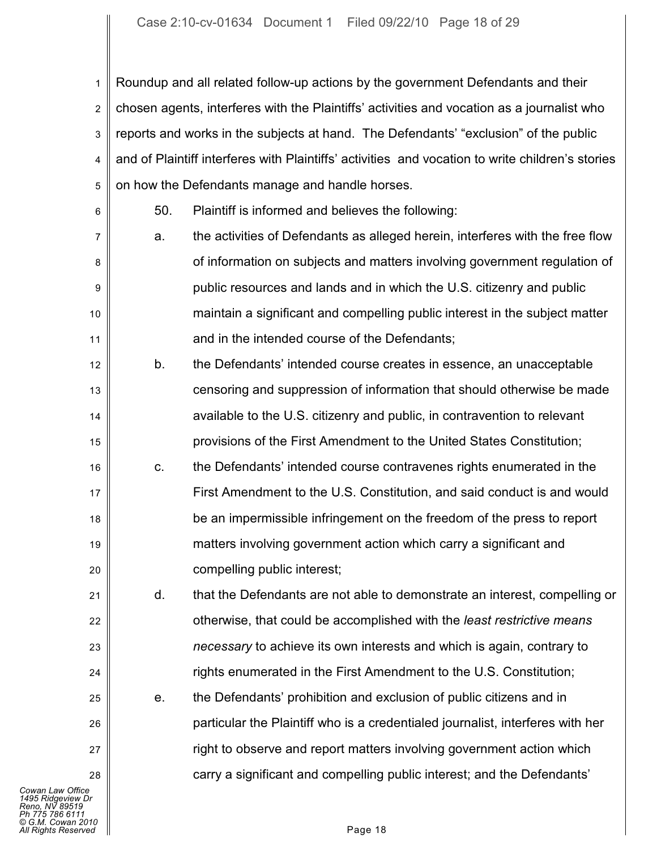1 2 3 4 5 Roundup and all related follow-up actions by the government Defendants and their chosen agents, interferes with the Plaintiffs' activities and vocation as a journalist who reports and works in the subjects at hand. The Defendants' "exclusion" of the public and of Plaintiff interferes with Plaintiffs' activities and vocation to write children's stories on how the Defendants manage and handle horses.

6

21

22

23

24

25

26

27

28

50. Plaintiff is informed and believes the following:

- 7 8 9 10 11 a. the activities of Defendants as alleged herein, interferes with the free flow of information on subjects and matters involving government regulation of public resources and lands and in which the U.S. citizenry and public maintain a significant and compelling public interest in the subject matter and in the intended course of the Defendants;
- 12 13 14 15 b. the Defendants' intended course creates in essence, an unacceptable censoring and suppression of information that should otherwise be made available to the U.S. citizenry and public, in contravention to relevant provisions of the First Amendment to the United States Constitution;
- 16 17 18 19 20 c. the Defendants' intended course contravenes rights enumerated in the First Amendment to the U.S. Constitution, and said conduct is and would be an impermissible infringement on the freedom of the press to report matters involving government action which carry a significant and compelling public interest;

d. that the Defendants are not able to demonstrate an interest, compelling or otherwise, that could be accomplished with the *least restrictive means necessary* to achieve its own interests and which is again, contrary to rights enumerated in the First Amendment to the U.S. Constitution;

e. the Defendants' prohibition and exclusion of public citizens and in particular the Plaintiff who is a credentialed journalist, interferes with her right to observe and report matters involving government action which carry a significant and compelling public interest; and the Defendants'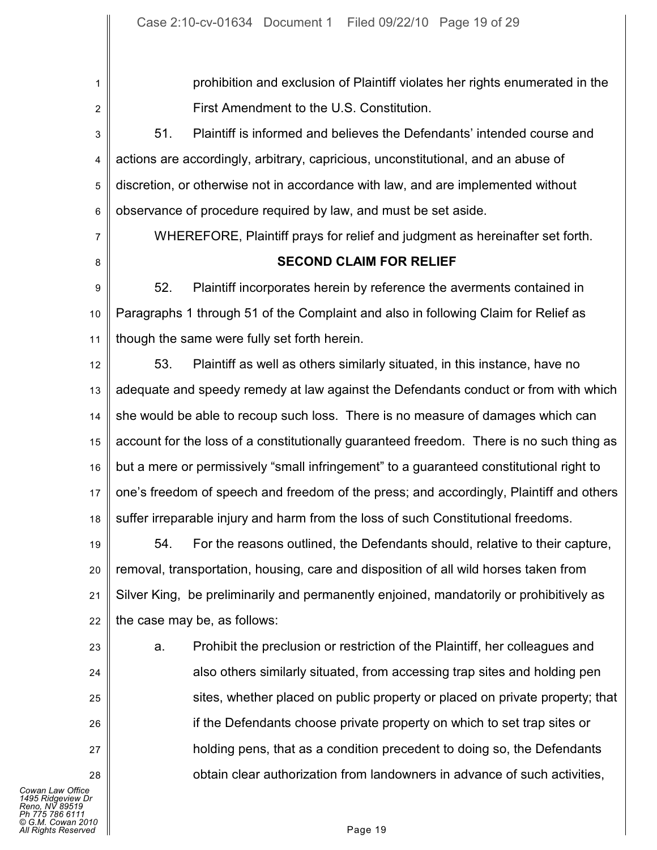1 2 3 4 5 6 7 8 9 10 11 12 13 14 15 16 17 18 19 20 21 22 23 24 25 26 27 28 prohibition and exclusion of Plaintiff violates her rights enumerated in the First Amendment to the U.S. Constitution. 51. Plaintiff is informed and believes the Defendants' intended course and actions are accordingly, arbitrary, capricious, unconstitutional, and an abuse of discretion, or otherwise not in accordance with law, and are implemented without observance of procedure required by law, and must be set aside. WHEREFORE, Plaintiff prays for relief and judgment as hereinafter set forth. **SECOND CLAIM FOR RELIEF** 52. Plaintiff incorporates herein by reference the averments contained in Paragraphs 1 through 51 of the Complaint and also in following Claim for Relief as though the same were fully set forth herein. 53. Plaintiff as well as others similarly situated, in this instance, have no adequate and speedy remedy at law against the Defendants conduct or from with which she would be able to recoup such loss. There is no measure of damages which can account for the loss of a constitutionally guaranteed freedom. There is no such thing as but a mere or permissively "small infringement" to a guaranteed constitutional right to one's freedom of speech and freedom of the press; and accordingly, Plaintiff and others suffer irreparable injury and harm from the loss of such Constitutional freedoms. 54. For the reasons outlined, the Defendants should, relative to their capture, removal, transportation, housing, care and disposition of all wild horses taken from Silver King, be preliminarily and permanently enjoined, mandatorily or prohibitively as the case may be, as follows: a. Prohibit the preclusion or restriction of the Plaintiff, her colleagues and also others similarly situated, from accessing trap sites and holding pen sites, whether placed on public property or placed on private property; that if the Defendants choose private property on which to set trap sites or holding pens, that as a condition precedent to doing so, the Defendants obtain clear authorization from landowners in advance of such activities,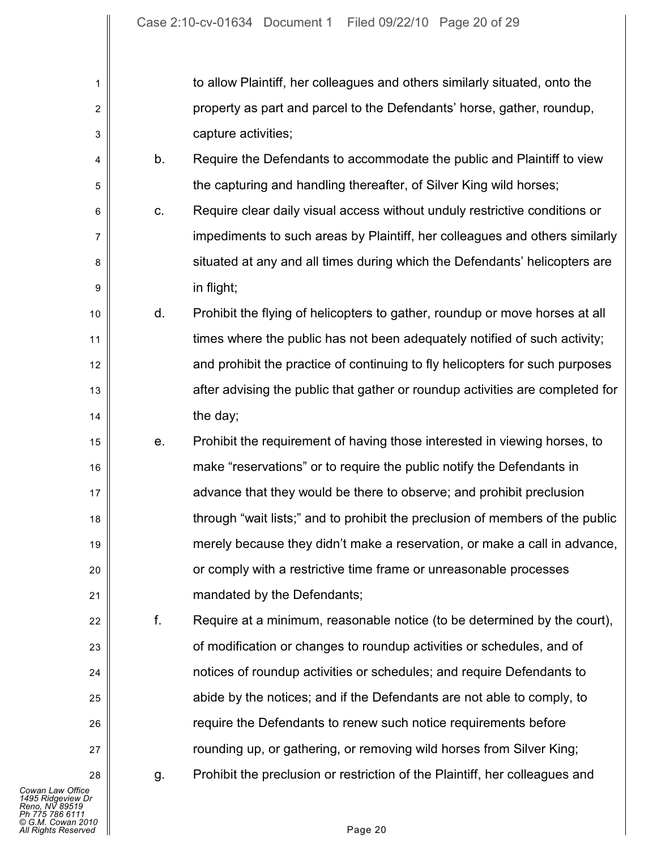| 1              |    | to allow Plaintiff, her colleagues and others similarly situated, onto the    |
|----------------|----|-------------------------------------------------------------------------------|
| $\overline{c}$ |    | property as part and parcel to the Defendants' horse, gather, roundup,        |
| 3              |    | capture activities;                                                           |
| 4              | b. | Require the Defendants to accommodate the public and Plaintiff to view        |
| 5              |    | the capturing and handling thereafter, of Silver King wild horses;            |
| 6              | C. | Require clear daily visual access without unduly restrictive conditions or    |
| 7              |    | impediments to such areas by Plaintiff, her colleagues and others similarly   |
| 8              |    | situated at any and all times during which the Defendants' helicopters are    |
| 9              |    | in flight;                                                                    |
| 10             | d. | Prohibit the flying of helicopters to gather, roundup or move horses at all   |
| 11             |    | times where the public has not been adequately notified of such activity;     |
| 12             |    | and prohibit the practice of continuing to fly helicopters for such purposes  |
| 13             |    | after advising the public that gather or roundup activities are completed for |
| 14             |    | the day;                                                                      |
| 15             | е. | Prohibit the requirement of having those interested in viewing horses, to     |
| 16             |    | make "reservations" or to require the public notify the Defendants in         |
| 17             |    | advance that they would be there to observe; and prohibit preclusion          |
| 18             |    | through "wait lists;" and to prohibit the preclusion of members of the public |
| 19             |    | merely because they didn't make a reservation, or make a call in advance,     |
| 20             |    | or comply with a restrictive time frame or unreasonable processes             |
| 21             |    | mandated by the Defendants;                                                   |
| 22             | f. | Require at a minimum, reasonable notice (to be determined by the court),      |
| 23             |    | of modification or changes to roundup activities or schedules, and of         |
| 24             |    | notices of roundup activities or schedules; and require Defendants to         |
| 25             |    | abide by the notices; and if the Defendants are not able to comply, to        |
| 26             |    | require the Defendants to renew such notice requirements before               |
| 27             |    | rounding up, or gathering, or removing wild horses from Silver King;          |
| 28             | g. | Prohibit the preclusion or restriction of the Plaintiff, her colleagues and   |
|                |    |                                                                               |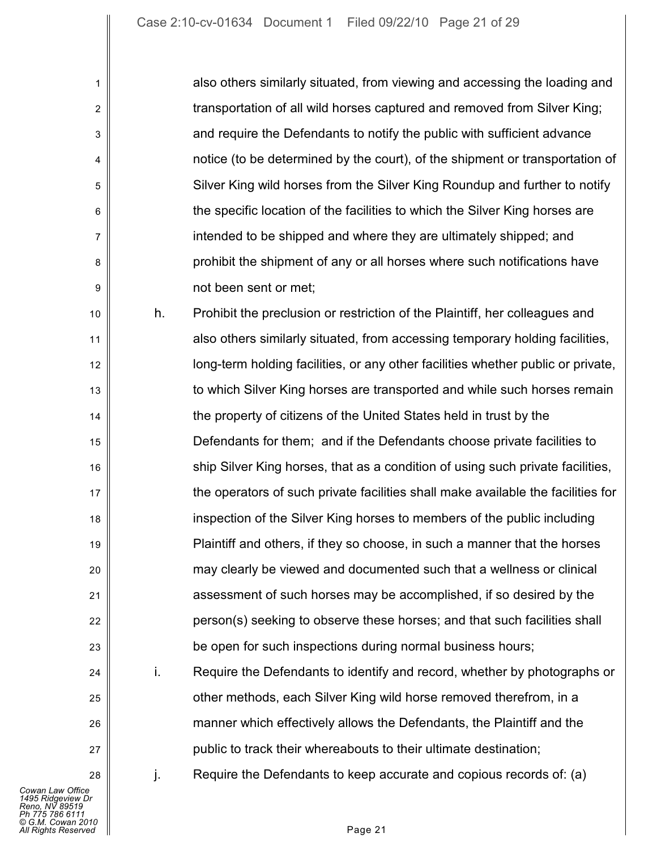| also others similarly situated, from viewing and accessing the loading and   |
|------------------------------------------------------------------------------|
| transportation of all wild horses captured and removed from Silver King;     |
| and require the Defendants to notify the public with sufficient advance      |
| notice (to be determined by the court), of the shipment or transportation of |
| Silver King wild horses from the Silver King Roundup and further to notify   |
| the specific location of the facilities to which the Silver King horses are  |
| intended to be shipped and where they are ultimately shipped; and            |
| prohibit the shipment of any or all horses where such notifications have     |
| not been sent or met;                                                        |

10 11 12 13 14 15 16 17 18 19 20 21 22 23 h. Prohibit the preclusion or restriction of the Plaintiff, her colleagues and also others similarly situated, from accessing temporary holding facilities, long-term holding facilities, or any other facilities whether public or private, to which Silver King horses are transported and while such horses remain the property of citizens of the United States held in trust by the Defendants for them; and if the Defendants choose private facilities to ship Silver King horses, that as a condition of using such private facilities, the operators of such private facilities shall make available the facilities for inspection of the Silver King horses to members of the public including Plaintiff and others, if they so choose, in such a manner that the horses may clearly be viewed and documented such that a wellness or clinical assessment of such horses may be accomplished, if so desired by the person(s) seeking to observe these horses; and that such facilities shall be open for such inspections during normal business hours;

i. Require the Defendants to identify and record, whether by photographs or other methods, each Silver King wild horse removed therefrom, in a manner which effectively allows the Defendants, the Plaintiff and the public to track their whereabouts to their ultimate destination;

 $i$ . Require the Defendants to keep accurate and copious records of: (a)

24

25

26

27

28

1

2

3

4

5

6

7

8

9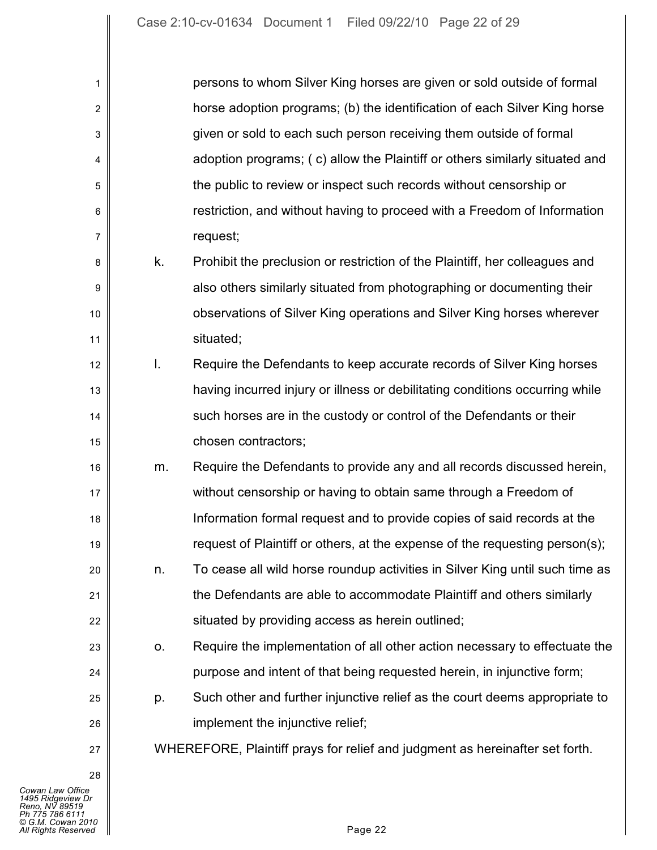| 1              |    | persons to whom Silver King horses are given or sold outside of formal       |
|----------------|----|------------------------------------------------------------------------------|
| $\overline{c}$ |    | horse adoption programs; (b) the identification of each Silver King horse    |
| 3              |    | given or sold to each such person receiving them outside of formal           |
| 4              |    | adoption programs; (c) allow the Plaintiff or others similarly situated and  |
| 5              |    | the public to review or inspect such records without censorship or           |
| 6              |    | restriction, and without having to proceed with a Freedom of Information     |
| 7              |    | request;                                                                     |
| 8              | k. | Prohibit the preclusion or restriction of the Plaintiff, her colleagues and  |
| 9              |    | also others similarly situated from photographing or documenting their       |
| 10             |    | observations of Silver King operations and Silver King horses wherever       |
| 11             |    | situated;                                                                    |
| 12             | I. | Require the Defendants to keep accurate records of Silver King horses        |
| 13             |    | having incurred injury or illness or debilitating conditions occurring while |
| 14             |    | such horses are in the custody or control of the Defendants or their         |
| 15             |    | chosen contractors;                                                          |
| 16             | m. | Require the Defendants to provide any and all records discussed herein,      |
| 17             |    | without censorship or having to obtain same through a Freedom of             |
| 18             |    | Information formal request and to provide copies of said records at the      |
| 19             |    | request of Plaintiff or others, at the expense of the requesting person(s);  |
| 20             | n. | To cease all wild horse roundup activities in Silver King until such time as |
| 21             |    | the Defendants are able to accommodate Plaintiff and others similarly        |
| 22             |    | situated by providing access as herein outlined;                             |
| 23             | О. | Require the implementation of all other action necessary to effectuate the   |
| 24             |    | purpose and intent of that being requested herein, in injunctive form;       |
| 25             | p. | Such other and further injunctive relief as the court deems appropriate to   |
| 26             |    | implement the injunctive relief;                                             |
| 27             |    | WHEREFORE, Plaintiff prays for relief and judgment as hereinafter set forth. |
| 28             |    |                                                                              |
|                |    |                                                                              |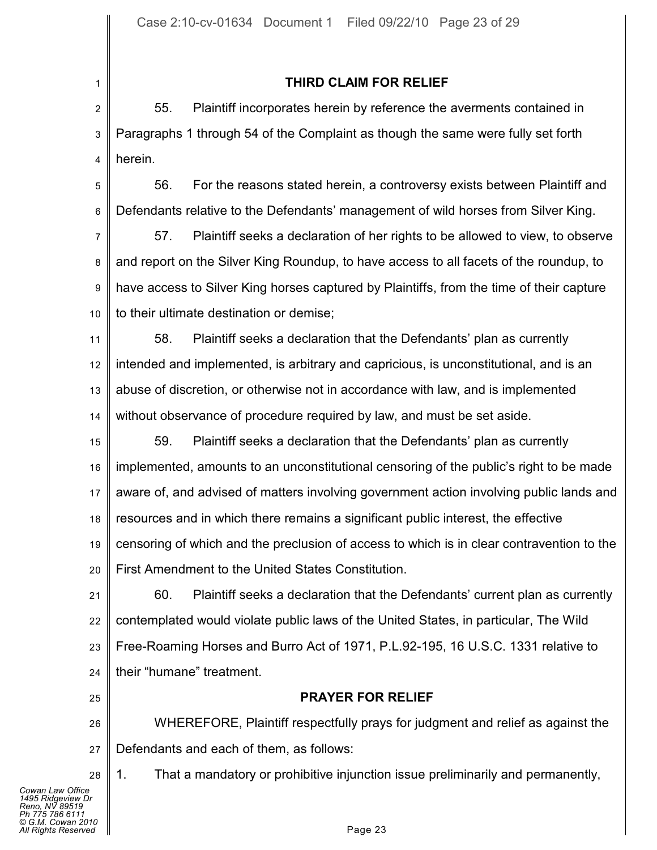## **THIRD CLAIM FOR RELIEF**

2 3 4 55. Plaintiff incorporates herein by reference the averments contained in Paragraphs 1 through 54 of the Complaint as though the same were fully set forth herein.

5 6 56. For the reasons stated herein, a controversy exists between Plaintiff and Defendants relative to the Defendants' management of wild horses from Silver King.

7 8 9 10 57. Plaintiff seeks a declaration of her rights to be allowed to view, to observe and report on the Silver King Roundup, to have access to all facets of the roundup, to have access to Silver King horses captured by Plaintiffs, from the time of their capture to their ultimate destination or demise;

11 12 13 14 58. Plaintiff seeks a declaration that the Defendants' plan as currently intended and implemented, is arbitrary and capricious, is unconstitutional, and is an abuse of discretion, or otherwise not in accordance with law, and is implemented without observance of procedure required by law, and must be set aside.

15 16 17 18 19 20 59. Plaintiff seeks a declaration that the Defendants' plan as currently implemented, amounts to an unconstitutional censoring of the public's right to be made aware of, and advised of matters involving government action involving public lands and resources and in which there remains a significant public interest, the effective censoring of which and the preclusion of access to which is in clear contravention to the First Amendment to the United States Constitution.

21 22 23 24 60. Plaintiff seeks a declaration that the Defendants' current plan as currently contemplated would violate public laws of the United States, in particular, The Wild Free-Roaming Horses and Burro Act of 1971, P.L.92-195, 16 U.S.C. 1331 relative to their "humane" treatment.

25

28

1

## **PRAYER FOR RELIEF**

26 27 WHEREFORE, Plaintiff respectfully prays for judgment and relief as against the Defendants and each of them, as follows:

1. That a mandatory or prohibitive injunction issue preliminarily and permanently,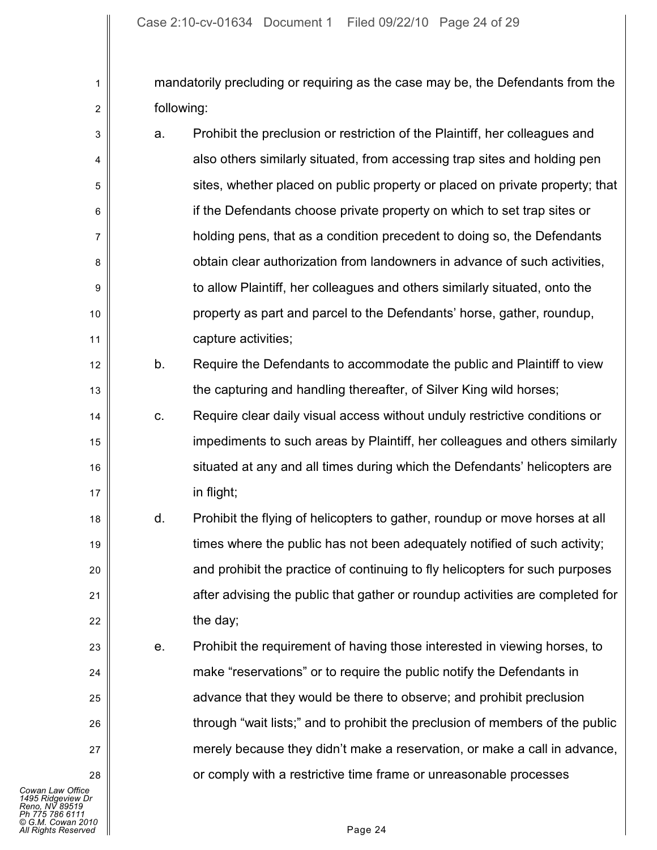mandatorily precluding or requiring as the case may be, the Defendants from the following:

| 3              | a. | Prohibit the preclusion or restriction of the Plaintiff, her colleagues and  |
|----------------|----|------------------------------------------------------------------------------|
| $\overline{4}$ |    | also others similarly situated, from accessing trap sites and holding pen    |
| 5              |    | sites, whether placed on public property or placed on private property; that |
| 6              |    | if the Defendants choose private property on which to set trap sites or      |
| 7              |    | holding pens, that as a condition precedent to doing so, the Defendants      |
| 8              |    | obtain clear authorization from landowners in advance of such activities,    |
| 9              |    | to allow Plaintiff, her colleagues and others similarly situated, onto the   |
| 10             |    | property as part and parcel to the Defendants' horse, gather, roundup,       |
| 11             |    | capture activities;                                                          |
|                |    |                                                                              |

b. Require the Defendants to accommodate the public and Plaintiff to view the capturing and handling thereafter, of Silver King wild horses;

c. Require clear daily visual access without unduly restrictive conditions or impediments to such areas by Plaintiff, her colleagues and others similarly situated at any and all times during which the Defendants' helicopters are in flight;

- d. Prohibit the flying of helicopters to gather, roundup or move horses at all times where the public has not been adequately notified of such activity; and prohibit the practice of continuing to fly helicopters for such purposes after advising the public that gather or roundup activities are completed for the day;
	- e. Prohibit the requirement of having those interested in viewing horses, to make "reservations" or to require the public notify the Defendants in advance that they would be there to observe; and prohibit preclusion through "wait lists;" and to prohibit the preclusion of members of the public merely because they didn't make a reservation, or make a call in advance, or comply with a restrictive time frame or unreasonable processes

1

2

12

13

14

15

16

17

18

19

20

21

22

23

24

25

26

27

28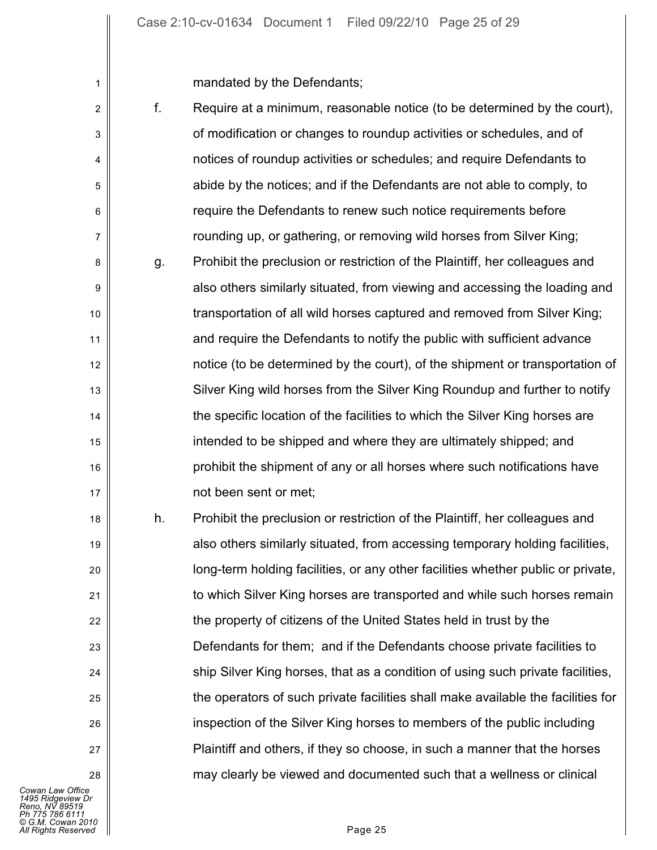mandated by the Defendants;

1

| $\overline{c}$ | f. | Require at a minimum, reasonable notice (to be determined by the court),         |
|----------------|----|----------------------------------------------------------------------------------|
| 3              |    | of modification or changes to roundup activities or schedules, and of            |
| 4              |    | notices of roundup activities or schedules; and require Defendants to            |
| 5              |    | abide by the notices; and if the Defendants are not able to comply, to           |
| 6              |    | require the Defendants to renew such notice requirements before                  |
| 7              |    | rounding up, or gathering, or removing wild horses from Silver King;             |
| 8              | g. | Prohibit the preclusion or restriction of the Plaintiff, her colleagues and      |
| 9              |    | also others similarly situated, from viewing and accessing the loading and       |
| 10             |    | transportation of all wild horses captured and removed from Silver King;         |
| 11             |    | and require the Defendants to notify the public with sufficient advance          |
| 12             |    | notice (to be determined by the court), of the shipment or transportation of     |
| 13             |    | Silver King wild horses from the Silver King Roundup and further to notify       |
| 14             |    | the specific location of the facilities to which the Silver King horses are      |
| 15             |    | intended to be shipped and where they are ultimately shipped; and                |
| 16             |    | prohibit the shipment of any or all horses where such notifications have         |
| 17             |    | not been sent or met;                                                            |
| 18             | h. | Prohibit the preclusion or restriction of the Plaintiff, her colleagues and      |
| 19             |    | also others similarly situated, from accessing temporary holding facilities,     |
| 20             |    | long-term holding facilities, or any other facilities whether public or private, |
| 21             |    | to which Silver King horses are transported and while such horses remain         |
| 22             |    | the property of citizens of the United States held in trust by the               |
| 23             |    | Defendants for them; and if the Defendants choose private facilities to          |
| 24             |    | ship Silver King horses, that as a condition of using such private facilities,   |
| 25             |    | the operators of such private facilities shall make available the facilities for |
| 26             |    | inspection of the Silver King horses to members of the public including          |
|                |    |                                                                                  |

*Cowan Law Office*<br>1495 Ridgeview Dr<br>Reno, NV 89519<br>Ph 775 786 6111<br>© G.M. Cowan 2010<br>All Rights Reserved Page 25

27

28

Plaintiff and others, if they so choose, in such a manner that the horses

may clearly be viewed and documented such that a wellness or clinical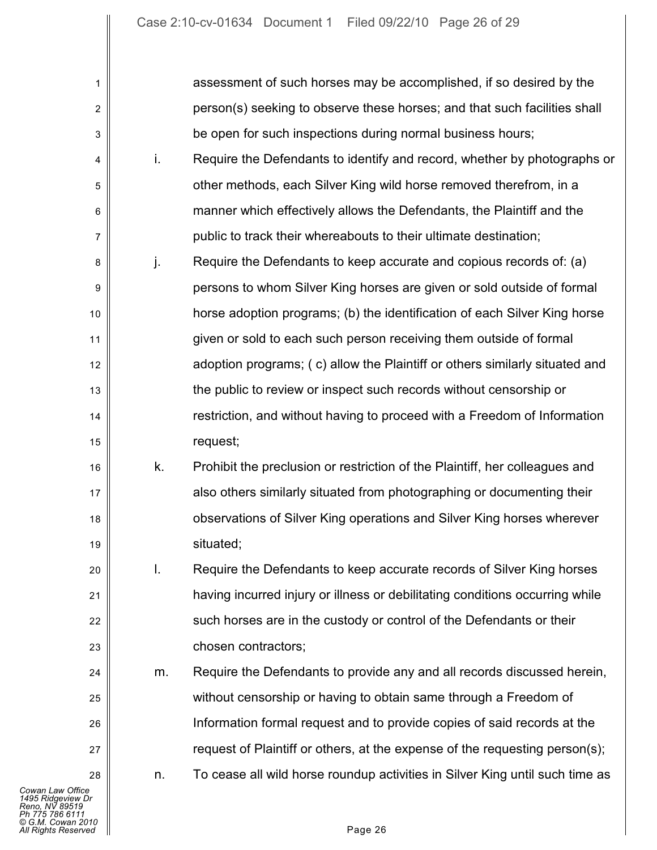| 1                                                                                                                      |    | assessment of such horses may be accomplished, if so desired by the          |
|------------------------------------------------------------------------------------------------------------------------|----|------------------------------------------------------------------------------|
| 2                                                                                                                      |    | person(s) seeking to observe these horses; and that such facilities shall    |
| 3                                                                                                                      |    | be open for such inspections during normal business hours;                   |
| 4                                                                                                                      | i. | Require the Defendants to identify and record, whether by photographs or     |
| 5                                                                                                                      |    | other methods, each Silver King wild horse removed therefrom, in a           |
| 6                                                                                                                      |    | manner which effectively allows the Defendants, the Plaintiff and the        |
| 7                                                                                                                      |    | public to track their whereabouts to their ultimate destination;             |
| 8                                                                                                                      | j. | Require the Defendants to keep accurate and copious records of: (a)          |
| 9                                                                                                                      |    | persons to whom Silver King horses are given or sold outside of formal       |
| 10                                                                                                                     |    | horse adoption programs; (b) the identification of each Silver King horse    |
| 11                                                                                                                     |    | given or sold to each such person receiving them outside of formal           |
| 12                                                                                                                     |    | adoption programs; (c) allow the Plaintiff or others similarly situated and  |
| 13                                                                                                                     |    | the public to review or inspect such records without censorship or           |
| 14                                                                                                                     |    | restriction, and without having to proceed with a Freedom of Information     |
| 15                                                                                                                     |    | request;                                                                     |
| 16                                                                                                                     | k. | Prohibit the preclusion or restriction of the Plaintiff, her colleagues and  |
| 17                                                                                                                     |    | also others similarly situated from photographing or documenting their       |
| 18                                                                                                                     |    | observations of Silver King operations and Silver King horses wherever       |
| 19                                                                                                                     |    | situated;                                                                    |
| 20                                                                                                                     | I. | Require the Defendants to keep accurate records of Silver King horses        |
| 21                                                                                                                     |    | having incurred injury or illness or debilitating conditions occurring while |
| 22                                                                                                                     |    | such horses are in the custody or control of the Defendants or their         |
| 23                                                                                                                     |    | chosen contractors;                                                          |
| 24                                                                                                                     | m. | Require the Defendants to provide any and all records discussed herein,      |
| 25                                                                                                                     |    | without censorship or having to obtain same through a Freedom of             |
| 26                                                                                                                     |    | Information formal request and to provide copies of said records at the      |
| 27                                                                                                                     |    | request of Plaintiff or others, at the expense of the requesting person(s);  |
| 28                                                                                                                     | n. | To cease all wild horse roundup activities in Silver King until such time as |
| Cowan Law Office<br>1495 Ridgeview Dr<br>Reno. NV 89519<br>Ph 775 786 6111<br>© G.M. Cowan 2010<br>All Rights Reserved |    | Page 26                                                                      |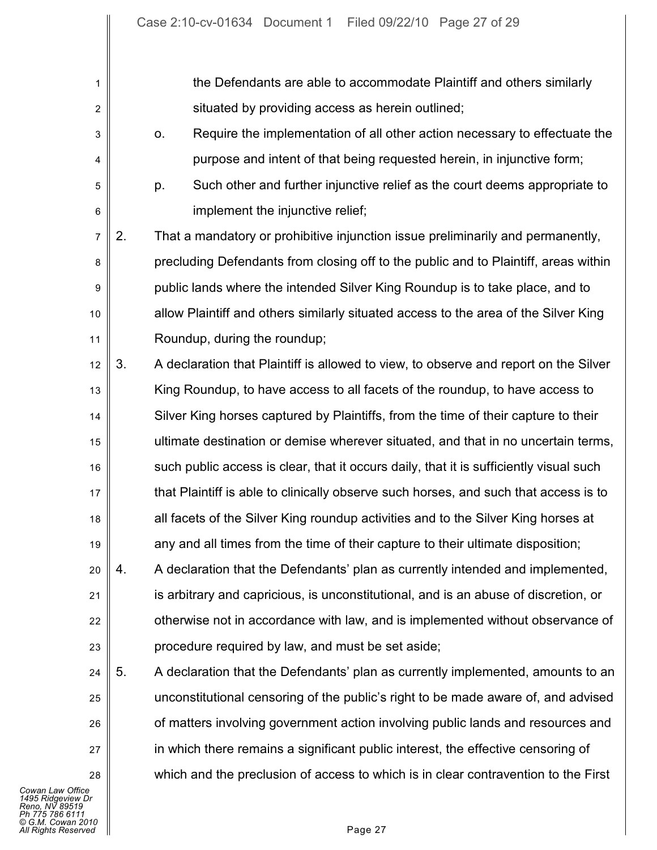1 2 3 4 5 6 7 8 9 10 11 12 13 14 15 16 17 18 19 20 21 22 23 24 25 26 27 the Defendants are able to accommodate Plaintiff and others similarly situated by providing access as herein outlined; o. Require the implementation of all other action necessary to effectuate the purpose and intent of that being requested herein, in injunctive form; p. Such other and further injunctive relief as the court deems appropriate to implement the injunctive relief; 2. That a mandatory or prohibitive injunction issue preliminarily and permanently, precluding Defendants from closing off to the public and to Plaintiff, areas within public lands where the intended Silver King Roundup is to take place, and to allow Plaintiff and others similarly situated access to the area of the Silver King Roundup, during the roundup; 3. A declaration that Plaintiff is allowed to view, to observe and report on the Silver King Roundup, to have access to all facets of the roundup, to have access to Silver King horses captured by Plaintiffs, from the time of their capture to their ultimate destination or demise wherever situated, and that in no uncertain terms, such public access is clear, that it occurs daily, that it is sufficiently visual such that Plaintiff is able to clinically observe such horses, and such that access is to all facets of the Silver King roundup activities and to the Silver King horses at any and all times from the time of their capture to their ultimate disposition; 4. A declaration that the Defendants' plan as currently intended and implemented, is arbitrary and capricious, is unconstitutional, and is an abuse of discretion, or otherwise not in accordance with law, and is implemented without observance of procedure required by law, and must be set aside; 5. A declaration that the Defendants' plan as currently implemented, amounts to an unconstitutional censoring of the public's right to be made aware of, and advised of matters involving government action involving public lands and resources and in which there remains a significant public interest, the effective censoring of

*Cowan Law Office 1495 Ridgeview Dr Reno, NV 89519 Ph 775 786 6111 © G.M. Cowan 2010 All Rights Reserved* Page 27

28

which and the preclusion of access to which is in clear contravention to the First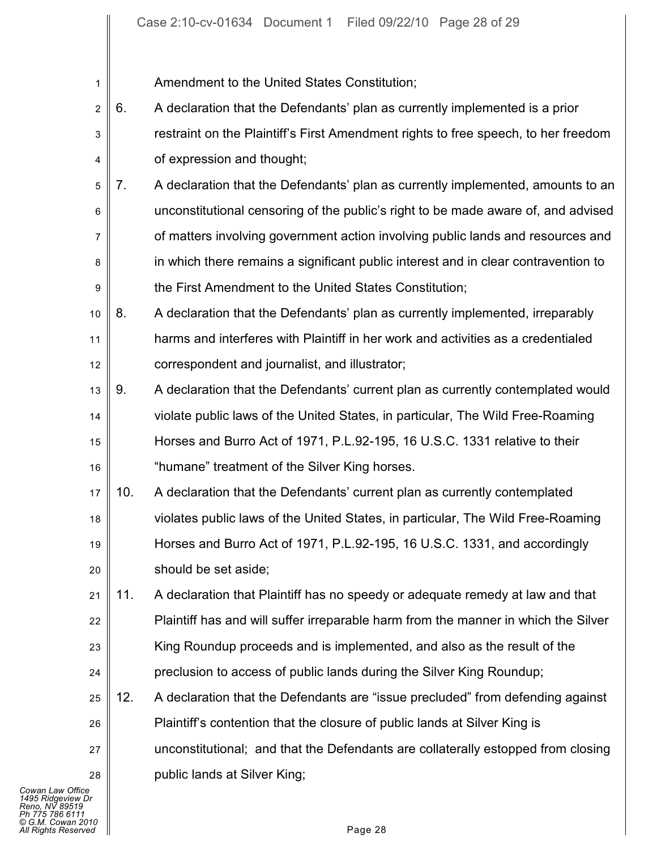Amendment to the United States Constitution;

1

- 2 3 4 6. A declaration that the Defendants' plan as currently implemented is a prior restraint on the Plaintiff's First Amendment rights to free speech, to her freedom of expression and thought;
- 5 6 7 8 9 7. A declaration that the Defendants' plan as currently implemented, amounts to an unconstitutional censoring of the public's right to be made aware of, and advised of matters involving government action involving public lands and resources and in which there remains a significant public interest and in clear contravention to the First Amendment to the United States Constitution;
- 10 11 12 8. A declaration that the Defendants' plan as currently implemented, irreparably harms and interferes with Plaintiff in her work and activities as a credentialed correspondent and journalist, and illustrator;
- 13 14 15 16 9. A declaration that the Defendants' current plan as currently contemplated would violate public laws of the United States, in particular, The Wild Free-Roaming Horses and Burro Act of 1971, P.L.92-195, 16 U.S.C. 1331 relative to their "humane" treatment of the Silver King horses.
- 17 18 19 20 10. A declaration that the Defendants' current plan as currently contemplated violates public laws of the United States, in particular, The Wild Free-Roaming Horses and Burro Act of 1971, P.L.92-195, 16 U.S.C. 1331, and accordingly should be set aside;
- 21 22 23 24 11. A declaration that Plaintiff has no speedy or adequate remedy at law and that Plaintiff has and will suffer irreparable harm from the manner in which the Silver King Roundup proceeds and is implemented, and also as the result of the preclusion to access of public lands during the Silver King Roundup;
- 25 26 27 28 12. A declaration that the Defendants are "issue precluded" from defending against Plaintiff's contention that the closure of public lands at Silver King is unconstitutional; and that the Defendants are collaterally estopped from closing public lands at Silver King;